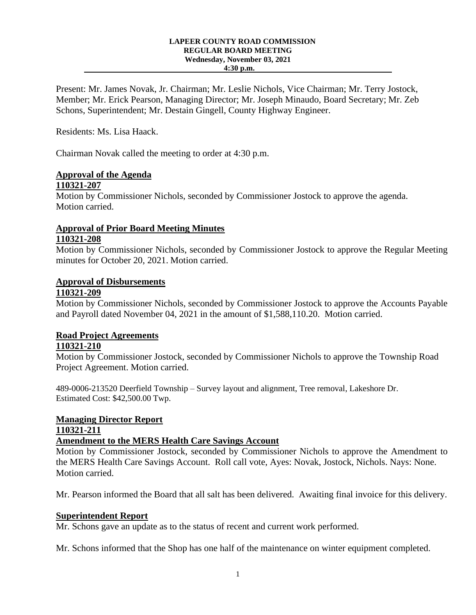#### **LAPEER COUNTY ROAD COMMISSION REGULAR BOARD MEETING Wednesday, November 03, 2021 4:30 p.m.**

Present: Mr. James Novak, Jr. Chairman; Mr. Leslie Nichols, Vice Chairman; Mr. Terry Jostock, Member; Mr. Erick Pearson, Managing Director; Mr. Joseph Minaudo, Board Secretary; Mr. Zeb Schons, Superintendent; Mr. Destain Gingell, County Highway Engineer.

Residents: Ms. Lisa Haack.

Chairman Novak called the meeting to order at 4:30 p.m.

# **Approval of the Agenda**

#### **110321-207**

Motion by Commissioner Nichols, seconded by Commissioner Jostock to approve the agenda. Motion carried.

### **Approval of Prior Board Meeting Minutes 110321-208**

Motion by Commissioner Nichols, seconded by Commissioner Jostock to approve the Regular Meeting minutes for October 20, 2021. Motion carried.

### **Approval of Disbursements**

### **110321-209**

Motion by Commissioner Nichols, seconded by Commissioner Jostock to approve the Accounts Payable and Payroll dated November 04, 2021 in the amount of \$1,588,110.20. Motion carried.

# **Road Project Agreements**

### **110321-210**

Motion by Commissioner Jostock, seconded by Commissioner Nichols to approve the Township Road Project Agreement. Motion carried.

489-0006-213520 Deerfield Township – Survey layout and alignment, Tree removal, Lakeshore Dr. Estimated Cost: \$42,500.00 Twp.

### **Managing Director Report 110321-211 Amendment to the MERS Health Care Savings Account**

Motion by Commissioner Jostock, seconded by Commissioner Nichols to approve the Amendment to the MERS Health Care Savings Account. Roll call vote, Ayes: Novak, Jostock, Nichols. Nays: None. Motion carried.

Mr. Pearson informed the Board that all salt has been delivered. Awaiting final invoice for this delivery.

### **Superintendent Report**

Mr. Schons gave an update as to the status of recent and current work performed.

Mr. Schons informed that the Shop has one half of the maintenance on winter equipment completed.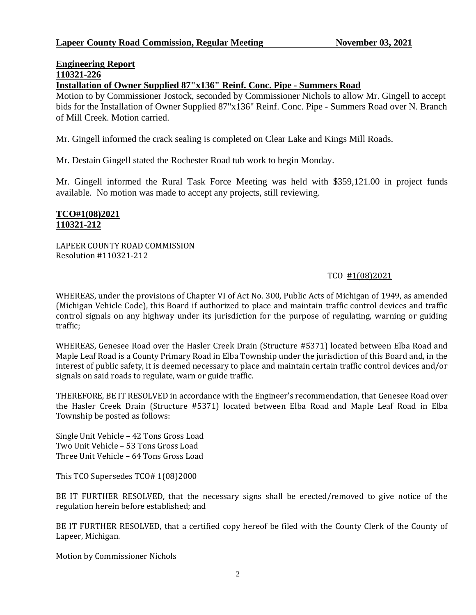### **Engineering Report 110321-226 Installation of Owner Supplied 87"x136" Reinf. Conc. Pipe - Summers Road**

Motion to by Commissioner Jostock, seconded by Commissioner Nichols to allow Mr. Gingell to accept bids for the Installation of Owner Supplied 87"x136" Reinf. Conc. Pipe - Summers Road over N. Branch of Mill Creek. Motion carried.

Mr. Gingell informed the crack sealing is completed on Clear Lake and Kings Mill Roads.

Mr. Destain Gingell stated the Rochester Road tub work to begin Monday.

Mr. Gingell informed the Rural Task Force Meeting was held with \$359,121.00 in project funds available. No motion was made to accept any projects, still reviewing.

### **TCO#1(08)2021 110321-212**

LAPEER COUNTY ROAD COMMISSION Resolution #110321-212

### TCO #1(08)2021

WHEREAS, under the provisions of Chapter VI of Act No. 300, Public Acts of Michigan of 1949, as amended (Michigan Vehicle Code), this Board if authorized to place and maintain traffic control devices and traffic control signals on any highway under its jurisdiction for the purpose of regulating, warning or guiding traffic;

WHEREAS, Genesee Road over the Hasler Creek Drain (Structure #5371) located between Elba Road and Maple Leaf Road is a County Primary Road in Elba Township under the jurisdiction of this Board and, in the interest of public safety, it is deemed necessary to place and maintain certain traffic control devices and/or signals on said roads to regulate, warn or guide traffic.

THEREFORE, BE IT RESOLVED in accordance with the Engineer's recommendation, that Genesee Road over the Hasler Creek Drain (Structure #5371) located between Elba Road and Maple Leaf Road in Elba Township be posted as follows:

Single Unit Vehicle – 42 Tons Gross Load Two Unit Vehicle – 53 Tons Gross Load Three Unit Vehicle – 64 Tons Gross Load

This TCO Supersedes TCO# 1(08)2000

BE IT FURTHER RESOLVED, that the necessary signs shall be erected/removed to give notice of the regulation herein before established; and

BE IT FURTHER RESOLVED, that a certified copy hereof be filed with the County Clerk of the County of Lapeer, Michigan.

Motion by Commissioner Nichols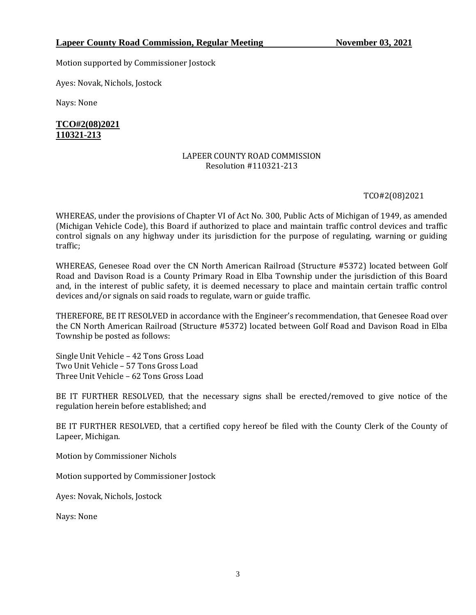Motion supported by Commissioner Jostock

Ayes: Novak, Nichols, Jostock

Nays: None

**TCO#2(08)2021 110321-213**

#### LAPEER COUNTY ROAD COMMISSION Resolution #110321-213

#### TCO#2(08)2021

WHEREAS, under the provisions of Chapter VI of Act No. 300, Public Acts of Michigan of 1949, as amended (Michigan Vehicle Code), this Board if authorized to place and maintain traffic control devices and traffic control signals on any highway under its jurisdiction for the purpose of regulating, warning or guiding traffic;

WHEREAS, Genesee Road over the CN North American Railroad (Structure #5372) located between Golf Road and Davison Road is a County Primary Road in Elba Township under the jurisdiction of this Board and, in the interest of public safety, it is deemed necessary to place and maintain certain traffic control devices and/or signals on said roads to regulate, warn or guide traffic.

THEREFORE, BE IT RESOLVED in accordance with the Engineer's recommendation, that Genesee Road over the CN North American Railroad (Structure #5372) located between Golf Road and Davison Road in Elba Township be posted as follows:

Single Unit Vehicle – 42 Tons Gross Load Two Unit Vehicle – 57 Tons Gross Load Three Unit Vehicle – 62 Tons Gross Load

BE IT FURTHER RESOLVED, that the necessary signs shall be erected/removed to give notice of the regulation herein before established; and

BE IT FURTHER RESOLVED, that a certified copy hereof be filed with the County Clerk of the County of Lapeer, Michigan.

Motion by Commissioner Nichols

Motion supported by Commissioner Jostock

Ayes: Novak, Nichols, Jostock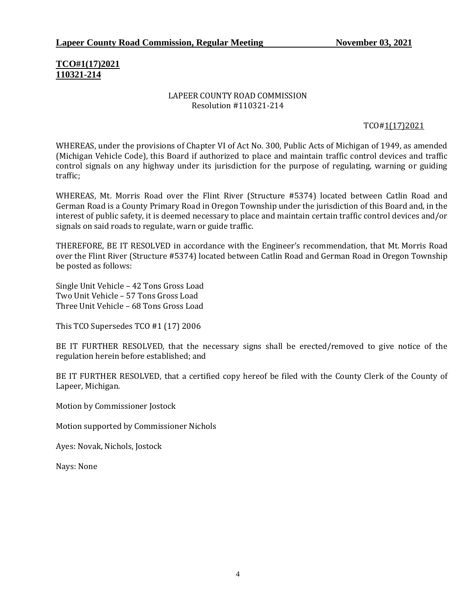# **TCO#1(17)2021 110321-214**

#### LAPEER COUNTY ROAD COMMISSION Resolution #110321-214

### TCO#1(17)2021

WHEREAS, under the provisions of Chapter VI of Act No. 300, Public Acts of Michigan of 1949, as amended (Michigan Vehicle Code), this Board if authorized to place and maintain traffic control devices and traffic control signals on any highway under its jurisdiction for the purpose of regulating, warning or guiding traffic;

WHEREAS, Mt. Morris Road over the Flint River (Structure #5374) located between Catlin Road and German Road is a County Primary Road in Oregon Township under the jurisdiction of this Board and, in the interest of public safety, it is deemed necessary to place and maintain certain traffic control devices and/or signals on said roads to regulate, warn or guide traffic.

THEREFORE, BE IT RESOLVED in accordance with the Engineer's recommendation, that Mt. Morris Road over the Flint River (Structure #5374) located between Catlin Road and German Road in Oregon Township be posted as follows:

Single Unit Vehicle – 42 Tons Gross Load Two Unit Vehicle – 57 Tons Gross Load Three Unit Vehicle – 68 Tons Gross Load

This TCO Supersedes TCO #1 (17) 2006

BE IT FURTHER RESOLVED, that the necessary signs shall be erected/removed to give notice of the regulation herein before established; and

BE IT FURTHER RESOLVED, that a certified copy hereof be filed with the County Clerk of the County of Lapeer, Michigan.

Motion by Commissioner Jostock

Motion supported by Commissioner Nichols

Ayes: Novak, Nichols, Jostock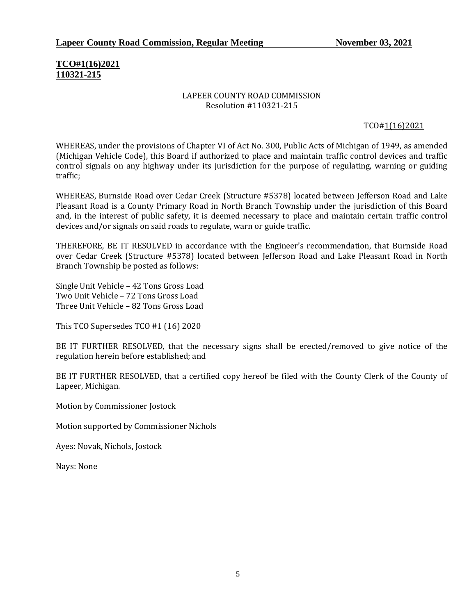# **TCO#1(16)2021 110321-215**

### LAPEER COUNTY ROAD COMMISSION Resolution #110321-215

#### TCO#1(16)2021

WHEREAS, under the provisions of Chapter VI of Act No. 300, Public Acts of Michigan of 1949, as amended (Michigan Vehicle Code), this Board if authorized to place and maintain traffic control devices and traffic control signals on any highway under its jurisdiction for the purpose of regulating, warning or guiding traffic;

WHEREAS, Burnside Road over Cedar Creek (Structure #5378) located between Jefferson Road and Lake Pleasant Road is a County Primary Road in North Branch Township under the jurisdiction of this Board and, in the interest of public safety, it is deemed necessary to place and maintain certain traffic control devices and/or signals on said roads to regulate, warn or guide traffic.

THEREFORE, BE IT RESOLVED in accordance with the Engineer's recommendation, that Burnside Road over Cedar Creek (Structure #5378) located between Jefferson Road and Lake Pleasant Road in North Branch Township be posted as follows:

Single Unit Vehicle – 42 Tons Gross Load Two Unit Vehicle – 72 Tons Gross Load Three Unit Vehicle – 82 Tons Gross Load

This TCO Supersedes TCO #1 (16) 2020

BE IT FURTHER RESOLVED, that the necessary signs shall be erected/removed to give notice of the regulation herein before established; and

BE IT FURTHER RESOLVED, that a certified copy hereof be filed with the County Clerk of the County of Lapeer, Michigan.

Motion by Commissioner Jostock

Motion supported by Commissioner Nichols

Ayes: Novak, Nichols, Jostock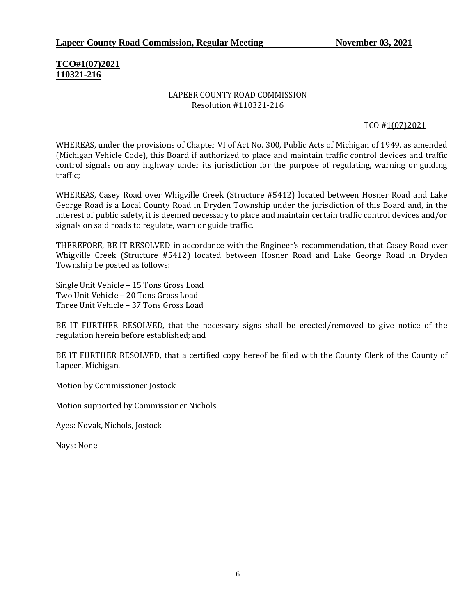# **TCO#1(07)2021 110321-216**

#### LAPEER COUNTY ROAD COMMISSION Resolution #110321-216

#### TCO #1(07)2021

WHEREAS, under the provisions of Chapter VI of Act No. 300, Public Acts of Michigan of 1949, as amended (Michigan Vehicle Code), this Board if authorized to place and maintain traffic control devices and traffic control signals on any highway under its jurisdiction for the purpose of regulating, warning or guiding traffic;

WHEREAS, Casey Road over Whigville Creek (Structure #5412) located between Hosner Road and Lake George Road is a Local County Road in Dryden Township under the jurisdiction of this Board and, in the interest of public safety, it is deemed necessary to place and maintain certain traffic control devices and/or signals on said roads to regulate, warn or guide traffic.

THEREFORE, BE IT RESOLVED in accordance with the Engineer's recommendation, that Casey Road over Whigville Creek (Structure #5412) located between Hosner Road and Lake George Road in Dryden Township be posted as follows:

Single Unit Vehicle – 15 Tons Gross Load Two Unit Vehicle – 20 Tons Gross Load Three Unit Vehicle – 37 Tons Gross Load

BE IT FURTHER RESOLVED, that the necessary signs shall be erected/removed to give notice of the regulation herein before established; and

BE IT FURTHER RESOLVED, that a certified copy hereof be filed with the County Clerk of the County of Lapeer, Michigan.

Motion by Commissioner Jostock

Motion supported by Commissioner Nichols

Ayes: Novak, Nichols, Jostock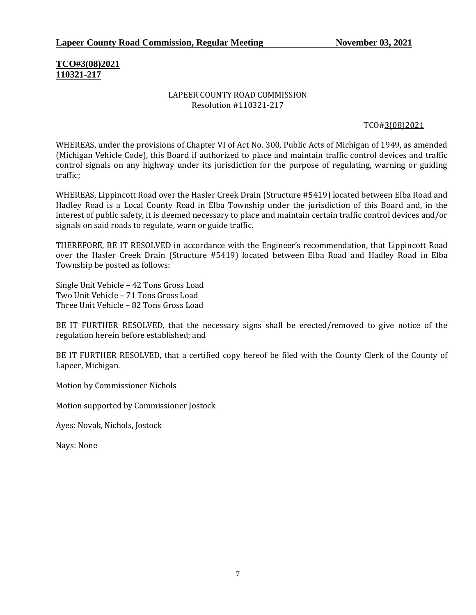# **TCO#3(08)2021 110321-217**

#### LAPEER COUNTY ROAD COMMISSION Resolution #110321-217

#### TCO#3(08)2021

WHEREAS, under the provisions of Chapter VI of Act No. 300, Public Acts of Michigan of 1949, as amended (Michigan Vehicle Code), this Board if authorized to place and maintain traffic control devices and traffic control signals on any highway under its jurisdiction for the purpose of regulating, warning or guiding traffic;

WHEREAS, Lippincott Road over the Hasler Creek Drain (Structure #5419) located between Elba Road and Hadley Road is a Local County Road in Elba Township under the jurisdiction of this Board and, in the interest of public safety, it is deemed necessary to place and maintain certain traffic control devices and/or signals on said roads to regulate, warn or guide traffic.

THEREFORE, BE IT RESOLVED in accordance with the Engineer's recommendation, that Lippincott Road over the Hasler Creek Drain (Structure #5419) located between Elba Road and Hadley Road in Elba Township be posted as follows:

Single Unit Vehicle – 42 Tons Gross Load Two Unit Vehicle – 71 Tons Gross Load Three Unit Vehicle – 82 Tons Gross Load

BE IT FURTHER RESOLVED, that the necessary signs shall be erected/removed to give notice of the regulation herein before established; and

BE IT FURTHER RESOLVED, that a certified copy hereof be filed with the County Clerk of the County of Lapeer, Michigan.

Motion by Commissioner Nichols

Motion supported by Commissioner Jostock

Ayes: Novak, Nichols, Jostock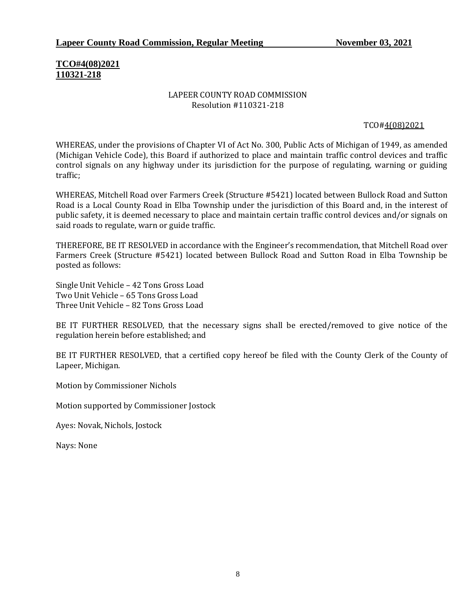# **TCO#4(08)2021 110321-218**

#### LAPEER COUNTY ROAD COMMISSION Resolution #110321-218

#### TCO#4(08)2021

WHEREAS, under the provisions of Chapter VI of Act No. 300, Public Acts of Michigan of 1949, as amended (Michigan Vehicle Code), this Board if authorized to place and maintain traffic control devices and traffic control signals on any highway under its jurisdiction for the purpose of regulating, warning or guiding traffic;

WHEREAS, Mitchell Road over Farmers Creek (Structure #5421) located between Bullock Road and Sutton Road is a Local County Road in Elba Township under the jurisdiction of this Board and, in the interest of public safety, it is deemed necessary to place and maintain certain traffic control devices and/or signals on said roads to regulate, warn or guide traffic.

THEREFORE, BE IT RESOLVED in accordance with the Engineer's recommendation, that Mitchell Road over Farmers Creek (Structure #5421) located between Bullock Road and Sutton Road in Elba Township be posted as follows:

Single Unit Vehicle – 42 Tons Gross Load Two Unit Vehicle – 65 Tons Gross Load Three Unit Vehicle – 82 Tons Gross Load

BE IT FURTHER RESOLVED, that the necessary signs shall be erected/removed to give notice of the regulation herein before established; and

BE IT FURTHER RESOLVED, that a certified copy hereof be filed with the County Clerk of the County of Lapeer, Michigan.

Motion by Commissioner Nichols

Motion supported by Commissioner Jostock

Ayes: Novak, Nichols, Jostock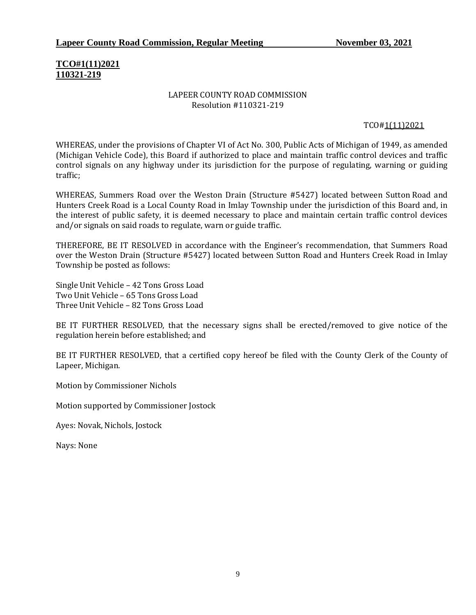# **TCO#1(11)2021 110321-219**

#### LAPEER COUNTY ROAD COMMISSION Resolution #110321-219

#### TCO#1(11)2021

WHEREAS, under the provisions of Chapter VI of Act No. 300, Public Acts of Michigan of 1949, as amended (Michigan Vehicle Code), this Board if authorized to place and maintain traffic control devices and traffic control signals on any highway under its jurisdiction for the purpose of regulating, warning or guiding traffic;

WHEREAS, Summers Road over the Weston Drain (Structure #5427) located between Sutton Road and Hunters Creek Road is a Local County Road in Imlay Township under the jurisdiction of this Board and, in the interest of public safety, it is deemed necessary to place and maintain certain traffic control devices and/or signals on said roads to regulate, warn or guide traffic.

THEREFORE, BE IT RESOLVED in accordance with the Engineer's recommendation, that Summers Road over the Weston Drain (Structure #5427) located between Sutton Road and Hunters Creek Road in Imlay Township be posted as follows:

Single Unit Vehicle – 42 Tons Gross Load Two Unit Vehicle – 65 Tons Gross Load Three Unit Vehicle – 82 Tons Gross Load

BE IT FURTHER RESOLVED, that the necessary signs shall be erected/removed to give notice of the regulation herein before established; and

BE IT FURTHER RESOLVED, that a certified copy hereof be filed with the County Clerk of the County of Lapeer, Michigan.

Motion by Commissioner Nichols

Motion supported by Commissioner Jostock

Ayes: Novak, Nichols, Jostock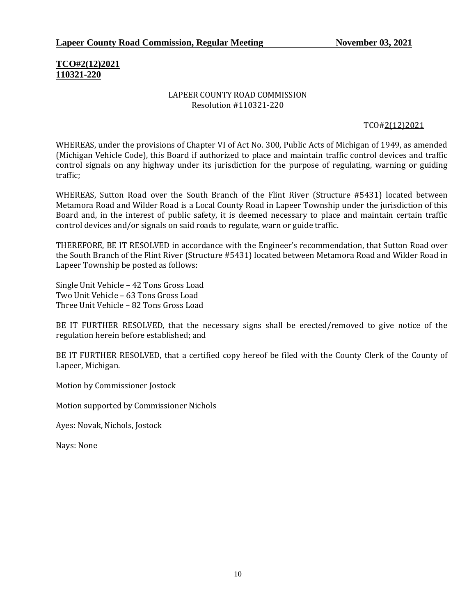# **TCO#2(12)2021 110321-220**

#### LAPEER COUNTY ROAD COMMISSION Resolution #110321-220

#### TCO#2(12)2021

WHEREAS, under the provisions of Chapter VI of Act No. 300, Public Acts of Michigan of 1949, as amended (Michigan Vehicle Code), this Board if authorized to place and maintain traffic control devices and traffic control signals on any highway under its jurisdiction for the purpose of regulating, warning or guiding traffic;

WHEREAS, Sutton Road over the South Branch of the Flint River (Structure #5431) located between Metamora Road and Wilder Road is a Local County Road in Lapeer Township under the jurisdiction of this Board and, in the interest of public safety, it is deemed necessary to place and maintain certain traffic control devices and/or signals on said roads to regulate, warn or guide traffic.

THEREFORE, BE IT RESOLVED in accordance with the Engineer's recommendation, that Sutton Road over the South Branch of the Flint River (Structure #5431) located between Metamora Road and Wilder Road in Lapeer Township be posted as follows:

Single Unit Vehicle – 42 Tons Gross Load Two Unit Vehicle – 63 Tons Gross Load Three Unit Vehicle – 82 Tons Gross Load

BE IT FURTHER RESOLVED, that the necessary signs shall be erected/removed to give notice of the regulation herein before established; and

BE IT FURTHER RESOLVED, that a certified copy hereof be filed with the County Clerk of the County of Lapeer, Michigan.

Motion by Commissioner Jostock

Motion supported by Commissioner Nichols

Ayes: Novak, Nichols, Jostock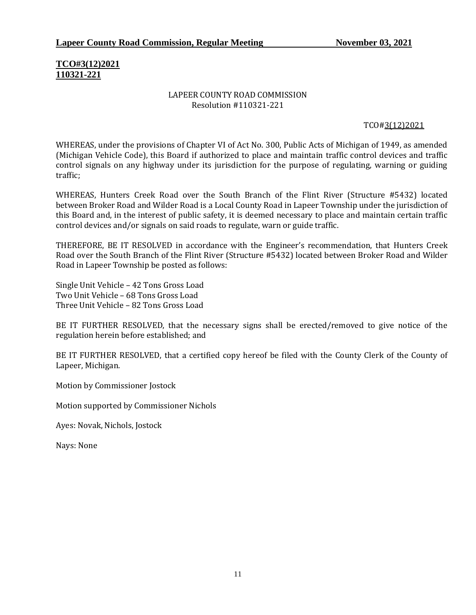# **TCO#3(12)2021 110321-221**

#### LAPEER COUNTY ROAD COMMISSION Resolution #110321-221

#### TCO#3(12)2021

WHEREAS, under the provisions of Chapter VI of Act No. 300, Public Acts of Michigan of 1949, as amended (Michigan Vehicle Code), this Board if authorized to place and maintain traffic control devices and traffic control signals on any highway under its jurisdiction for the purpose of regulating, warning or guiding traffic;

WHEREAS, Hunters Creek Road over the South Branch of the Flint River (Structure #5432) located between Broker Road and Wilder Road is a Local County Road in Lapeer Township under the jurisdiction of this Board and, in the interest of public safety, it is deemed necessary to place and maintain certain traffic control devices and/or signals on said roads to regulate, warn or guide traffic.

THEREFORE, BE IT RESOLVED in accordance with the Engineer's recommendation, that Hunters Creek Road over the South Branch of the Flint River (Structure #5432) located between Broker Road and Wilder Road in Lapeer Township be posted as follows:

Single Unit Vehicle – 42 Tons Gross Load Two Unit Vehicle – 68 Tons Gross Load Three Unit Vehicle – 82 Tons Gross Load

BE IT FURTHER RESOLVED, that the necessary signs shall be erected/removed to give notice of the regulation herein before established; and

BE IT FURTHER RESOLVED, that a certified copy hereof be filed with the County Clerk of the County of Lapeer, Michigan.

Motion by Commissioner Jostock

Motion supported by Commissioner Nichols

Ayes: Novak, Nichols, Jostock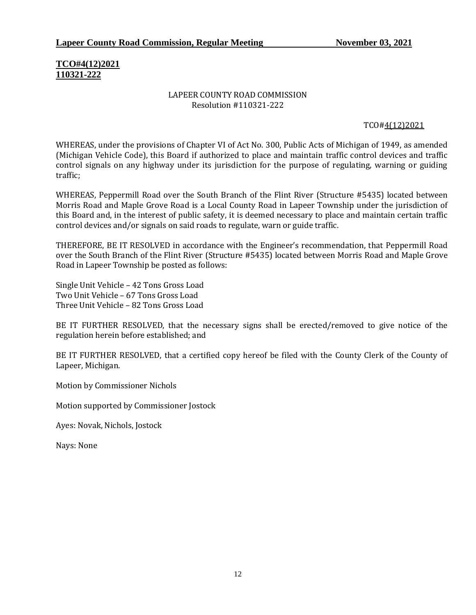# **TCO#4(12)2021 110321-222**

#### LAPEER COUNTY ROAD COMMISSION Resolution #110321-222

#### TCO#4(12)2021

WHEREAS, under the provisions of Chapter VI of Act No. 300, Public Acts of Michigan of 1949, as amended (Michigan Vehicle Code), this Board if authorized to place and maintain traffic control devices and traffic control signals on any highway under its jurisdiction for the purpose of regulating, warning or guiding traffic;

WHEREAS, Peppermill Road over the South Branch of the Flint River (Structure #5435) located between Morris Road and Maple Grove Road is a Local County Road in Lapeer Township under the jurisdiction of this Board and, in the interest of public safety, it is deemed necessary to place and maintain certain traffic control devices and/or signals on said roads to regulate, warn or guide traffic.

THEREFORE, BE IT RESOLVED in accordance with the Engineer's recommendation, that Peppermill Road over the South Branch of the Flint River (Structure #5435) located between Morris Road and Maple Grove Road in Lapeer Township be posted as follows:

Single Unit Vehicle – 42 Tons Gross Load Two Unit Vehicle – 67 Tons Gross Load Three Unit Vehicle – 82 Tons Gross Load

BE IT FURTHER RESOLVED, that the necessary signs shall be erected/removed to give notice of the regulation herein before established; and

BE IT FURTHER RESOLVED, that a certified copy hereof be filed with the County Clerk of the County of Lapeer, Michigan.

Motion by Commissioner Nichols

Motion supported by Commissioner Jostock

Ayes: Novak, Nichols, Jostock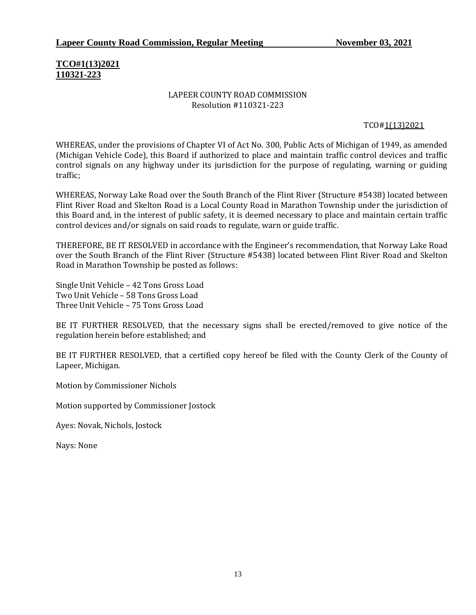# **TCO#1(13)2021 110321-223**

#### LAPEER COUNTY ROAD COMMISSION Resolution #110321-223

#### TCO#1(13)2021

WHEREAS, under the provisions of Chapter VI of Act No. 300, Public Acts of Michigan of 1949, as amended (Michigan Vehicle Code), this Board if authorized to place and maintain traffic control devices and traffic control signals on any highway under its jurisdiction for the purpose of regulating, warning or guiding traffic;

WHEREAS, Norway Lake Road over the South Branch of the Flint River (Structure #5438) located between Flint River Road and Skelton Road is a Local County Road in Marathon Township under the jurisdiction of this Board and, in the interest of public safety, it is deemed necessary to place and maintain certain traffic control devices and/or signals on said roads to regulate, warn or guide traffic.

THEREFORE, BE IT RESOLVED in accordance with the Engineer's recommendation, that Norway Lake Road over the South Branch of the Flint River (Structure #5438) located between Flint River Road and Skelton Road in Marathon Township be posted as follows:

Single Unit Vehicle – 42 Tons Gross Load Two Unit Vehicle – 58 Tons Gross Load Three Unit Vehicle – 75 Tons Gross Load

BE IT FURTHER RESOLVED, that the necessary signs shall be erected/removed to give notice of the regulation herein before established; and

BE IT FURTHER RESOLVED, that a certified copy hereof be filed with the County Clerk of the County of Lapeer, Michigan.

Motion by Commissioner Nichols

Motion supported by Commissioner Jostock

Ayes: Novak, Nichols, Jostock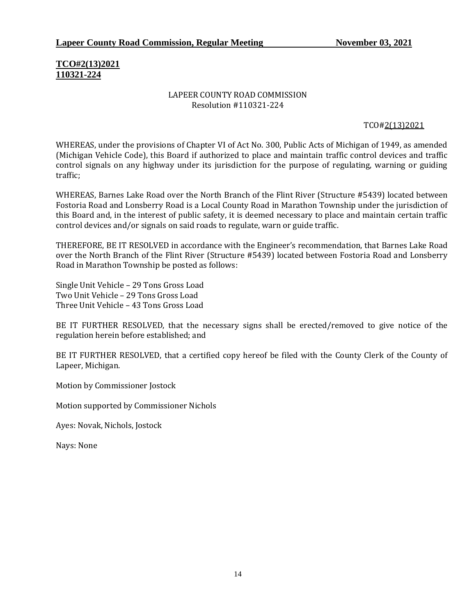# **TCO#2(13)2021 110321-224**

#### LAPEER COUNTY ROAD COMMISSION Resolution #110321-224

#### TCO#2(13)2021

WHEREAS, under the provisions of Chapter VI of Act No. 300, Public Acts of Michigan of 1949, as amended (Michigan Vehicle Code), this Board if authorized to place and maintain traffic control devices and traffic control signals on any highway under its jurisdiction for the purpose of regulating, warning or guiding traffic;

WHEREAS, Barnes Lake Road over the North Branch of the Flint River (Structure #5439) located between Fostoria Road and Lonsberry Road is a Local County Road in Marathon Township under the jurisdiction of this Board and, in the interest of public safety, it is deemed necessary to place and maintain certain traffic control devices and/or signals on said roads to regulate, warn or guide traffic.

THEREFORE, BE IT RESOLVED in accordance with the Engineer's recommendation, that Barnes Lake Road over the North Branch of the Flint River (Structure #5439) located between Fostoria Road and Lonsberry Road in Marathon Township be posted as follows:

Single Unit Vehicle – 29 Tons Gross Load Two Unit Vehicle – 29 Tons Gross Load Three Unit Vehicle – 43 Tons Gross Load

BE IT FURTHER RESOLVED, that the necessary signs shall be erected/removed to give notice of the regulation herein before established; and

BE IT FURTHER RESOLVED, that a certified copy hereof be filed with the County Clerk of the County of Lapeer, Michigan.

Motion by Commissioner Jostock

Motion supported by Commissioner Nichols

Ayes: Novak, Nichols, Jostock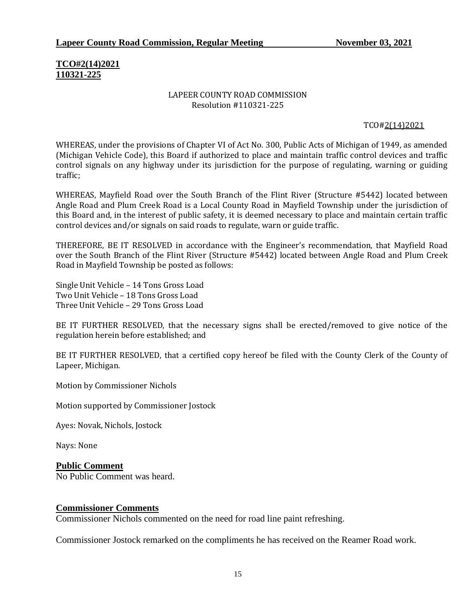# **TCO#2(14)2021 110321-225**

#### LAPEER COUNTY ROAD COMMISSION Resolution #110321-225

#### TCO#2(14)2021

WHEREAS, under the provisions of Chapter VI of Act No. 300, Public Acts of Michigan of 1949, as amended (Michigan Vehicle Code), this Board if authorized to place and maintain traffic control devices and traffic control signals on any highway under its jurisdiction for the purpose of regulating, warning or guiding traffic;

WHEREAS, Mayfield Road over the South Branch of the Flint River (Structure #5442) located between Angle Road and Plum Creek Road is a Local County Road in Mayfield Township under the jurisdiction of this Board and, in the interest of public safety, it is deemed necessary to place and maintain certain traffic control devices and/or signals on said roads to regulate, warn or guide traffic.

THEREFORE, BE IT RESOLVED in accordance with the Engineer's recommendation, that Mayfield Road over the South Branch of the Flint River (Structure #5442) located between Angle Road and Plum Creek Road in Mayfield Township be posted as follows:

Single Unit Vehicle – 14 Tons Gross Load Two Unit Vehicle – 18 Tons Gross Load Three Unit Vehicle – 29 Tons Gross Load

BE IT FURTHER RESOLVED, that the necessary signs shall be erected/removed to give notice of the regulation herein before established; and

BE IT FURTHER RESOLVED, that a certified copy hereof be filed with the County Clerk of the County of Lapeer, Michigan.

Motion by Commissioner Nichols

Motion supported by Commissioner Jostock

Ayes: Novak, Nichols, Jostock

Nays: None

# **Public Comment**

No Public Comment was heard.

#### **Commissioner Comments**

Commissioner Nichols commented on the need for road line paint refreshing.

Commissioner Jostock remarked on the compliments he has received on the Reamer Road work.